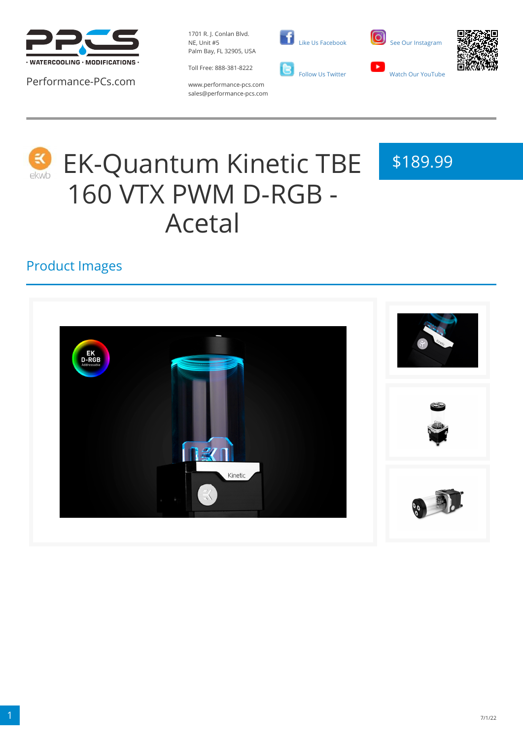

Performance-PCs.com

1701 R. J. Conlan Blvd. NE, Unit #5 Palm Bay, FL 32905, USA

Toll Free: 888-381-8222







www.performance-pcs.com sales@performance-pcs.com



# EK-Quantum Kinetic TBE 160 VTX PWM D-RGB - Acetal

# \$189.99

#### Product Images

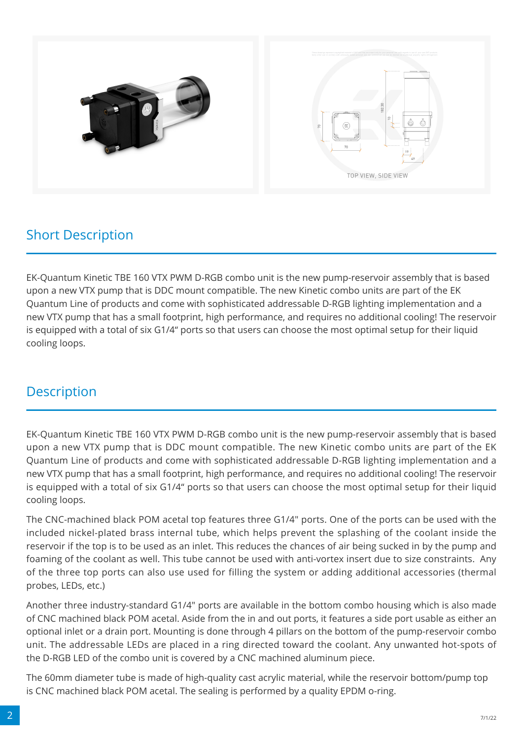

## Short Description

EK-Quantum Kinetic TBE 160 VTX PWM D-RGB combo unit is the new pump-reservoir assembly that is based upon a new VTX pump that is DDC mount compatible. The new Kinetic combo units are part of the EK Quantum Line of products and come with sophisticated addressable D-RGB lighting implementation and a new VTX pump that has a small footprint, high performance, and requires no additional cooling! The reservoir is equipped with a total of six G1/4" ports so that users can choose the most optimal setup for their liquid cooling loops.

#### **Description**

EK-Quantum Kinetic TBE 160 VTX PWM D-RGB combo unit is the new pump-reservoir assembly that is based upon a new VTX pump that is DDC mount compatible. The new Kinetic combo units are part of the EK Quantum Line of products and come with sophisticated addressable D-RGB lighting implementation and a new VTX pump that has a small footprint, high performance, and requires no additional cooling! The reservoir is equipped with a total of six G1/4" ports so that users can choose the most optimal setup for their liquid cooling loops.

The CNC-machined black POM acetal top features three G1/4" ports. One of the ports can be used with the included nickel-plated brass internal tube, which helps prevent the splashing of the coolant inside the reservoir if the top is to be used as an inlet. This reduces the chances of air being sucked in by the pump and foaming of the coolant as well. This tube cannot be used with anti-vortex insert due to size constraints. Any of the three top ports can also use used for filling the system or adding additional accessories (thermal probes, LEDs, etc.)

Another three industry-standard G1/4" ports are available in the bottom combo housing which is also made of CNC machined black POM acetal. Aside from the in and out ports, it features a side port usable as either an optional inlet or a drain port. Mounting is done through 4 pillars on the bottom of the pump-reservoir combo unit. The addressable LEDs are placed in a ring directed toward the coolant. Any unwanted hot-spots of the D-RGB LED of the combo unit is covered by a CNC machined aluminum piece.

The 60mm diameter tube is made of high-quality cast acrylic material, while the reservoir bottom/pump top is CNC machined black POM acetal. The sealing is performed by a quality EPDM o-ring.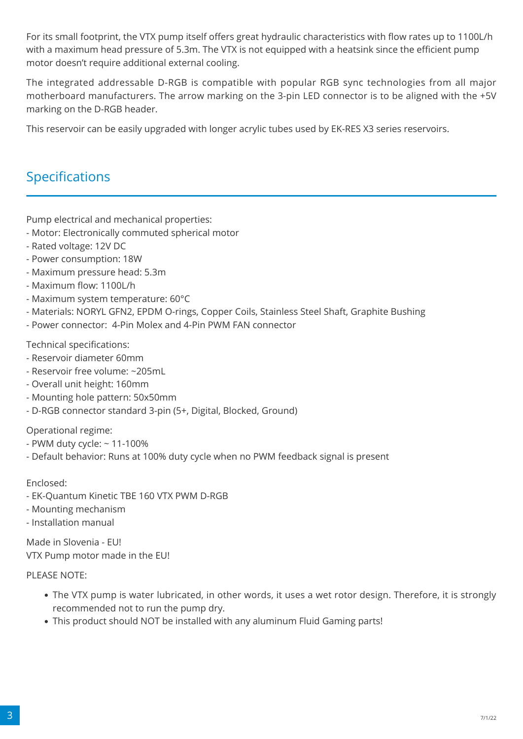For its small footprint, the VTX pump itself offers great hydraulic characteristics with flow rates up to 1100L/h with a maximum head pressure of 5.3m. The VTX is not equipped with a heatsink since the efficient pump motor doesn't require additional external cooling.

The integrated addressable D-RGB is compatible with popular RGB sync technologies from all major motherboard manufacturers. The arrow marking on the 3-pin LED connector is to be aligned with the +5V marking on the D-RGB header.

This reservoir can be easily upgraded with longer acrylic tubes used by EK-RES X3 series reservoirs.

### Specifications

Pump electrical and mechanical properties:

- Motor: Electronically commuted spherical motor
- Rated voltage: 12V DC
- Power consumption: 18W
- Maximum pressure head: 5.3m
- Maximum flow: 1100L/h
- Maximum system temperature: 60°C
- Materials: NORYL GFN2, EPDM O-rings, Copper Coils, Stainless Steel Shaft, Graphite Bushing
- Power connector: 4-Pin Molex and 4-Pin PWM FAN connector

Technical specifications:

- Reservoir diameter 60mm
- Reservoir free volume: ~205mL
- Overall unit height: 160mm
- Mounting hole pattern: 50x50mm
- D-RGB connector standard 3-pin (5+, Digital, Blocked, Ground)

Operational regime:

- PWM duty cycle: ~ 11-100%
- Default behavior: Runs at 100% duty cycle when no PWM feedback signal is present

#### Enclosed:

- EK-Quantum Kinetic TBE 160 VTX PWM D-RGB
- Mounting mechanism
- Installation manual

Made in Slovenia - EU! VTX Pump motor made in the EU!

#### PLEASE NOTE:

- The VTX pump is water lubricated, in other words, it uses a wet rotor design. Therefore, it is strongly recommended not to run the pump dry.
- This product should NOT be installed with any aluminum Fluid Gaming parts!